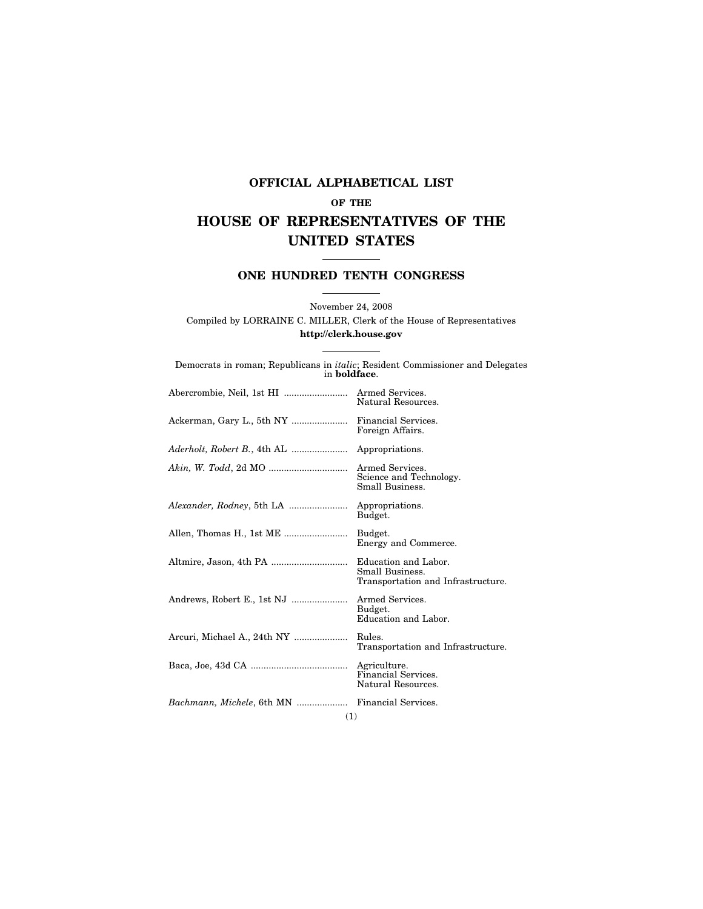## **OFFICIAL ALPHABETICAL LIST OF THE HOUSE OF REPRESENTATIVES OF THE UNITED STATES**

## **ONE HUNDRED TENTH CONGRESS**

November 24, 2008 Compiled by LORRAINE C. MILLER, Clerk of the House of Representatives **http://clerk.house.gov** 

| Democrats in roman; Republicans in <i>italic</i> ; Resident Commissioner and Delegates<br>in <b>boldface</b> . |
|----------------------------------------------------------------------------------------------------------------|
| Natural Resources.                                                                                             |
| Ackerman, Gary L., 5th NY<br>Financial Services.<br>Foreign Affairs.                                           |
|                                                                                                                |
| Science and Technology.<br>Small Business.                                                                     |
| Appropriations.<br>Budget.                                                                                     |
| Allen, Thomas H., 1st ME<br>Budget.<br>Energy and Commerce.                                                    |
| Education and Labor.<br>Small Business.<br>Transportation and Infrastructure.                                  |
| Andrews, Robert E., 1st NJ<br>Armed Services.<br>Budget.<br>Education and Labor.                               |
| Rules.<br>Transportation and Infrastructure.                                                                   |
| Financial Services.<br>Natural Resources.                                                                      |
| Bachmann, Michele, 6th MN  Financial Services.                                                                 |
| Arcuri, Michael A., 24th NY                                                                                    |

(1)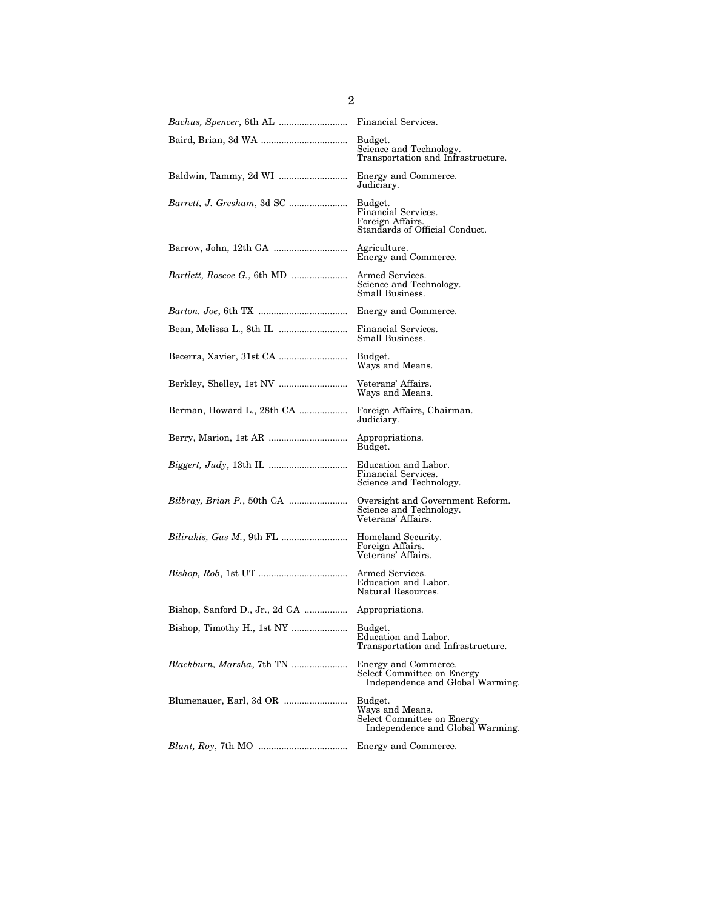| <i>Bachus, Spencer, 6th AL </i>     | Financial Services.                                                                          |
|-------------------------------------|----------------------------------------------------------------------------------------------|
|                                     | Budget.<br>Science and Technology.<br>Transportation and Infrastructure.                     |
|                                     | Energy and Commerce.<br>Judiciary.                                                           |
| Barrett, J. Gresham, 3d SC          | Budget.<br>Financial Services.<br>Foreign Affairs.<br>Standards of Official Conduct.         |
| Barrow, John, 12th GA               | Agriculture.<br>Energy and Commerce.                                                         |
| <i>Bartlett, Roscoe G., 6th MD </i> | Armed Services.<br>Science and Technology.<br>Small Business.                                |
|                                     | Energy and Commerce.                                                                         |
|                                     | Financial Services.<br>Small Business.                                                       |
|                                     | Budget.<br>Ways and Means.                                                                   |
|                                     | Veterans' Affairs.<br>Ways and Means.                                                        |
| Berman, Howard L., 28th CA          | Foreign Affairs, Chairman.<br>Judiciary.                                                     |
|                                     | Appropriations.<br>Budget.                                                                   |
|                                     | Education and Labor.<br>Financial Services.<br>Science and Technology.                       |
| <i>Bilbray, Brian P., 50th CA </i>  | Oversight and Government Reform.<br>Science and Technology.<br>Veterans' Affairs.            |
| <i>Bilirakis, Gus M., 9th FL </i>   | Homeland Security.<br>Foreign Affairs.<br>Veterans' Affairs.                                 |
|                                     | Armed Services.<br>Education and Labor.<br>Natural Resources.                                |
|                                     |                                                                                              |
| Bishop, Timothy H., 1st NY          | Budget.<br>Education and Labor.<br>Transportation and Infrastructure.                        |
| <i>Blackburn, Marsha, 7th TN </i>   | Energy and Commerce.<br>Select Committee on Energy<br>Independence and Global Warming.       |
| Blumenauer, Earl, 3d OR             | Budget.<br>Ways and Means.<br>Select Committee on Energy<br>Independence and Global Warming. |
|                                     | Energy and Commerce.                                                                         |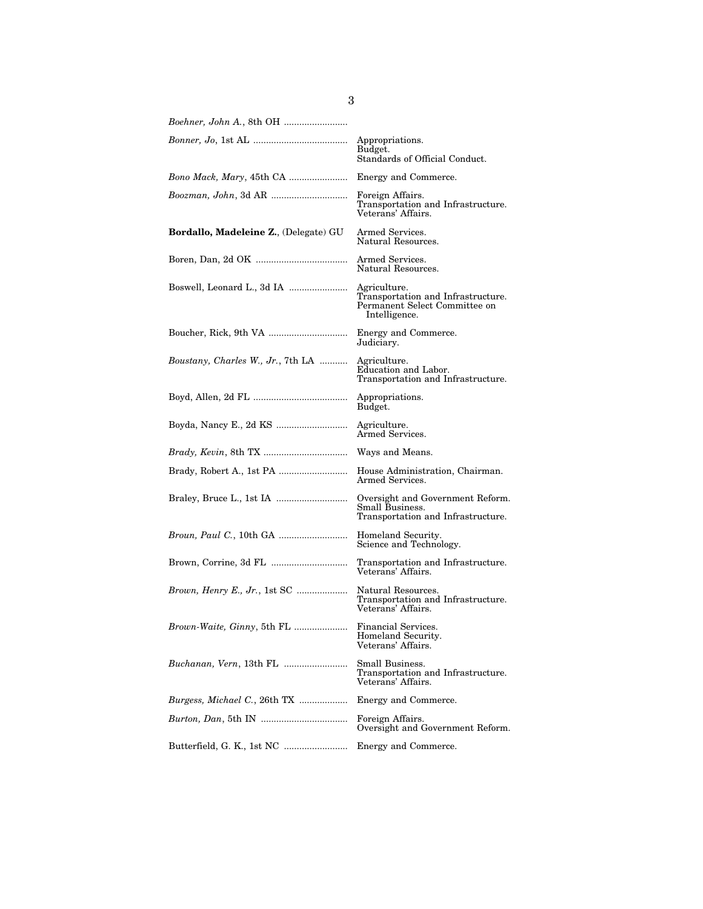|                                               | Appropriations.<br>Budget.<br>Standards of Official Conduct.                                         |
|-----------------------------------------------|------------------------------------------------------------------------------------------------------|
| <i>Bono Mack, Mary, 45th CA </i>              | Energy and Commerce.                                                                                 |
|                                               | Foreign Affairs.<br>Transportation and Infrastructure.<br>Veterans' Affairs.                         |
| <b>Bordallo, Madeleine Z.</b> , (Delegate) GU | Armed Services.<br>Natural Resources.                                                                |
|                                               | Armed Services.<br>Natural Resources.                                                                |
|                                               | Agriculture.<br>Transportation and Infrastructure.<br>Permanent Select Committee on<br>Intelligence. |
|                                               | Energy and Commerce.<br>Judiciary.                                                                   |
| Boustany, Charles W., Jr., 7th LA             | Agriculture.<br>Education and Labor.<br>Transportation and Infrastructure.                           |
|                                               | Appropriations.<br>Budget.                                                                           |
|                                               | Agriculture.<br>Armed Services.                                                                      |
| <i>Brady, Kevin, 8th TX </i>                  | Ways and Means.                                                                                      |
|                                               | House Administration, Chairman.<br>Armed Services.                                                   |
|                                               | Oversight and Government Reform.<br>Small Business.<br>Transportation and Infrastructure.            |
| <i>Broun, Paul C., 10th GA </i>               | Homeland Security.<br>Science and Technology.                                                        |
|                                               | Transportation and Infrastructure.<br>Veterans' Affairs.                                             |
| <i>Brown, Henry E., Jr., 1st SC </i>          | Natural Resources.<br>Transportation and Infrastructure.<br>Veterans' Affairs.                       |
|                                               | Financial Services.<br>Homeland Security.<br>Veterans' Affairs.                                      |
| <i>Buchanan, Vern, 13th FL </i>               | Small Business.<br>Transportation and Infrastructure.<br>Veterans' Affairs.                          |
| <i>Burgess, Michael C., 26th TX </i>          | Energy and Commerce.                                                                                 |
|                                               | Foreign Affairs.<br>Oversight and Government Reform.                                                 |
|                                               | Energy and Commerce.                                                                                 |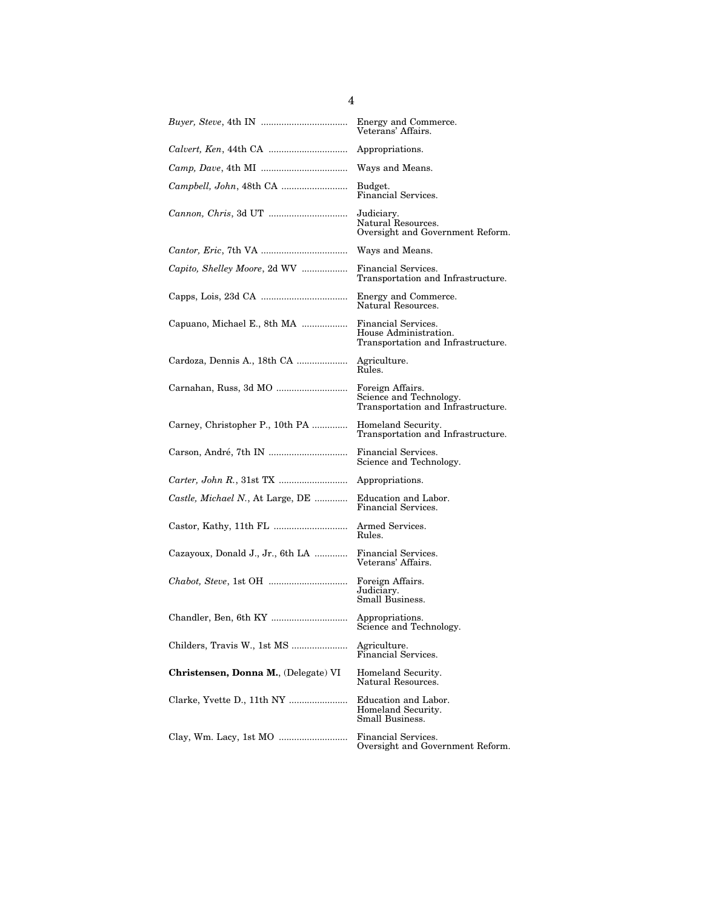|                                      | Energy and Commerce.<br>Veterans' Affairs.                                         |
|--------------------------------------|------------------------------------------------------------------------------------|
|                                      | Appropriations.                                                                    |
|                                      | Ways and Means.                                                                    |
|                                      | Budget.<br>Financial Services.                                                     |
|                                      | Judiciary.<br>Natural Resources.<br>Oversight and Government Reform.               |
|                                      | Ways and Means.                                                                    |
| Capito, Shelley Moore, 2d WV         | Financial Services.<br>Transportation and Infrastructure.                          |
|                                      | Energy and Commerce.<br>Natural Resources.                                         |
| Capuano, Michael E., 8th MA          | Financial Services.<br>House Administration.<br>Transportation and Infrastructure. |
| Cardoza, Dennis A., 18th CA          | Agriculture.<br>Rules.                                                             |
|                                      | Foreign Affairs.<br>Science and Technology.<br>Transportation and Infrastructure.  |
| Carney, Christopher P., 10th PA      | Homeland Security.<br>Transportation and Infrastructure.                           |
|                                      | Financial Services.<br>Science and Technology.                                     |
|                                      | Appropriations.                                                                    |
| Castle, Michael N., At Large, DE     | Education and Labor.<br>Financial Services.                                        |
|                                      | Armed Services.<br>Rules.                                                          |
| Cazayoux, Donald J., Jr., 6th LA     | Financial Services.<br>Veterans' Affairs.                                          |
|                                      | Foreign Affairs.<br>Judiciary.<br>Small Business.                                  |
|                                      | Appropriations.<br>Science and Technology.                                         |
| Childers, Travis W., 1st MS          | Agriculture.<br>Financial Services.                                                |
| Christensen, Donna M., (Delegate) VI | Homeland Security.<br>Natural Resources.                                           |
|                                      | Education and Labor.<br>Homeland Security.<br>Small Business.                      |
|                                      | Financial Services.<br>Oversight and Government Reform.                            |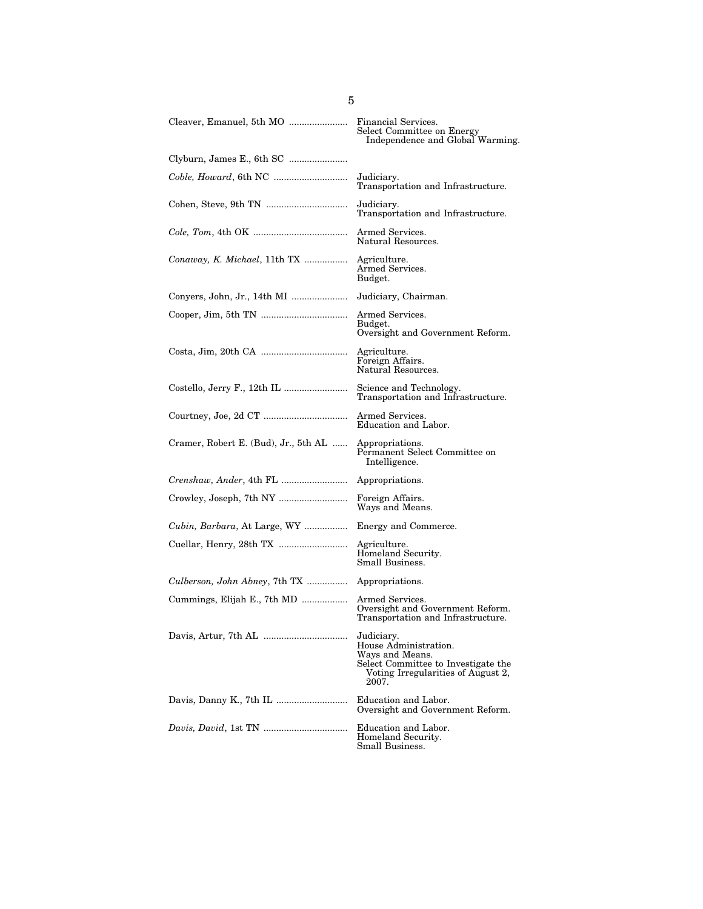|                                      | Financial Services.<br>Select Committee on Energy<br>Independence and Global Warming.                                                        |
|--------------------------------------|----------------------------------------------------------------------------------------------------------------------------------------------|
| Clyburn, James E., 6th SC            |                                                                                                                                              |
|                                      | Judiciary.<br>Transportation and Infrastructure.                                                                                             |
|                                      | Judiciary.<br>Transportation and Infrastructure.                                                                                             |
|                                      | Armed Services.<br>Natural Resources.                                                                                                        |
| Conaway, K. Michael, 11th TX         | Agriculture.<br>Armed Services.<br>Budget.                                                                                                   |
|                                      | Judiciary, Chairman.                                                                                                                         |
|                                      | Armed Services.<br>Budget.<br>Oversight and Government Reform.                                                                               |
|                                      | Agriculture.<br>Foreign Affairs.<br>Natural Resources.                                                                                       |
|                                      | Science and Technology.<br>Transportation and Infrastructure.                                                                                |
|                                      | Armed Services.<br>Education and Labor.                                                                                                      |
| Cramer, Robert E. (Bud), Jr., 5th AL | Appropriations.<br>Permanent Select Committee on<br>Intelligence.                                                                            |
|                                      | Appropriations.                                                                                                                              |
|                                      | Foreign Affairs.<br>Ways and Means.                                                                                                          |
| Cubin, Barbara, At Large, WY         | Energy and Commerce.                                                                                                                         |
|                                      | Agriculture.<br>Homeland Security.<br>Small Business.                                                                                        |
| Culberson, John Abney, 7th TX        | Appropriations.                                                                                                                              |
| Cummings, Elijah E., 7th MD          | Armed Services.<br>Oversight and Government Reform.<br>Transportation and Infrastructure.                                                    |
|                                      | Judiciary.<br>House Administration.<br>Ways and Means.<br>Select Committee to Investigate the<br>Voting Irregularities of August 2,<br>2007. |
|                                      | Education and Labor.<br>Oversight and Government Reform.                                                                                     |
|                                      | Education and Labor.<br>Homeland Security.<br>Small Business.                                                                                |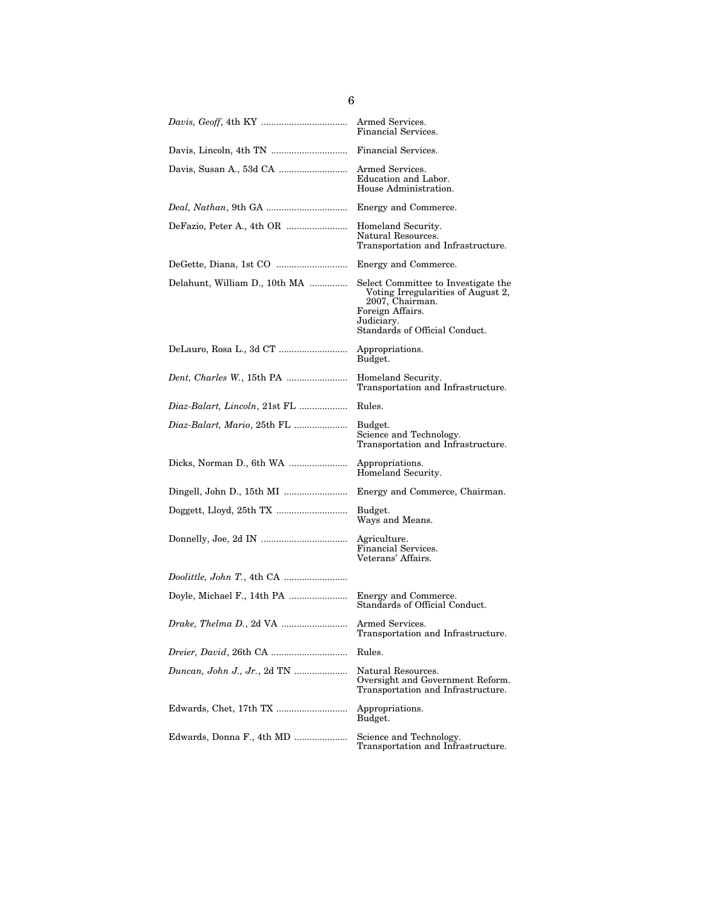|                                     | Financial Services.                                                                                                                                              |
|-------------------------------------|------------------------------------------------------------------------------------------------------------------------------------------------------------------|
|                                     | Financial Services.                                                                                                                                              |
|                                     | Armed Services.<br>Education and Labor.<br>House Administration.                                                                                                 |
|                                     | Energy and Commerce.                                                                                                                                             |
|                                     | Homeland Security.<br>Natural Resources.<br>Transportation and Infrastructure.                                                                                   |
|                                     | Energy and Commerce.                                                                                                                                             |
| Delahunt, William D., 10th MA       | Select Committee to Investigate the<br>Voting Irregularities of August 2,<br>2007, Chairman.<br>Foreign Affairs.<br>Judiciary.<br>Standards of Official Conduct. |
|                                     | Appropriations.<br>Budget.                                                                                                                                       |
|                                     | Homeland Security.<br>Transportation and Infrastructure.                                                                                                         |
| Diaz-Balart, Lincoln, 21st FL       | Rules.                                                                                                                                                           |
|                                     | Budget.<br>Science and Technology.<br>Transportation and Infrastructure.                                                                                         |
|                                     | Appropriations.<br>Homeland Security.                                                                                                                            |
|                                     | Energy and Commerce, Chairman.                                                                                                                                   |
|                                     | Budget.<br>Ways and Means.                                                                                                                                       |
|                                     | Agriculture.<br>Financial Services.<br>Veterans' Affairs.                                                                                                        |
|                                     |                                                                                                                                                                  |
|                                     | Energy and Commerce.<br>Standards of Official Conduct.                                                                                                           |
|                                     | Transportation and Infrastructure.                                                                                                                               |
| <i>Dreier, David, 26th CA </i>      | Rules.                                                                                                                                                           |
| <i>Duncan, John J., Jr., 2d TN </i> | Natural Resources.<br>Oversight and Government Reform.<br>Transportation and Infrastructure.                                                                     |
|                                     | Appropriations.<br>Budget.                                                                                                                                       |
| Edwards, Donna F., 4th MD           | Science and Technology.<br>Transportation and Infrastructure.                                                                                                    |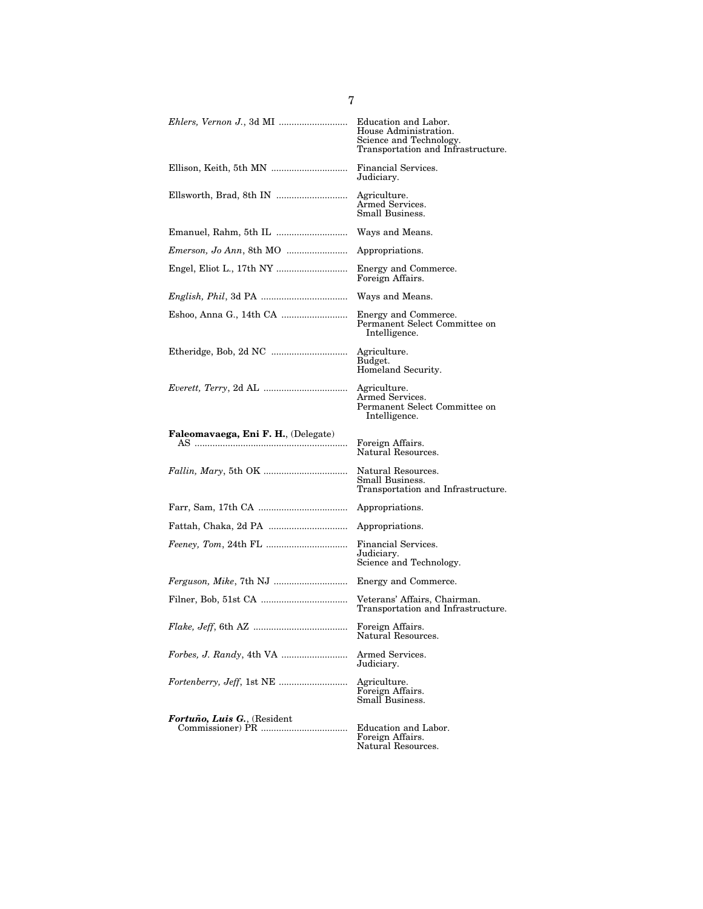| Ehlers, Vernon J., 3d MI                                       | Education and Labor.<br>House Administration.<br>Science and Technology.<br>Transportation and Infrastructure. |
|----------------------------------------------------------------|----------------------------------------------------------------------------------------------------------------|
|                                                                | Financial Services.<br>Judiciary.                                                                              |
| Ellsworth, Brad, 8th IN                                        | Agriculture.<br>Armed Services.<br>Small Business.                                                             |
|                                                                | Ways and Means.                                                                                                |
| <i>Emerson, Jo Ann, 8th MO </i>                                | Appropriations.                                                                                                |
|                                                                | Energy and Commerce.<br>Foreign Affairs.                                                                       |
| <i>English, Phil, 3d PA </i>                                   | Ways and Means.                                                                                                |
| Eshoo, Anna G., 14th CA                                        | Energy and Commerce.<br>Permanent Select Committee on<br>Intelligence.                                         |
|                                                                | Agriculture.<br>Budget.<br>Homeland Security.                                                                  |
|                                                                | Agriculture.<br>Armed Services.<br>Permanent Select Committee on<br>Intelligence.                              |
| Faleomavaega, Eni F. H., (Delegate)<br>AS …………………………………………………… | Foreign Affairs.<br>Natural Resources.                                                                         |
|                                                                | Natural Resources.<br>Small Business.<br>Transportation and Infrastructure.                                    |
|                                                                | Appropriations.                                                                                                |
| Fattah, Chaka, 2d PA                                           | Appropriations.                                                                                                |
|                                                                | Financial Services.<br>Judiciary.<br>Science and Technology.                                                   |
| <i>Ferguson, Mike, 7th NJ </i>                                 | Energy and Commerce.                                                                                           |
|                                                                | Veterans' Affairs, Chairman.<br>Transportation and Infrastructure.                                             |
|                                                                | Foreign Affairs.<br>Natural Resources.                                                                         |
| <i>Forbes, J. Randy, 4th VA </i>                               | Armed Services.<br>Judiciary.                                                                                  |
|                                                                | Agriculture.<br>Foreign Affairs.<br>Small Business.                                                            |
| Fortuño, Luis G., (Resident                                    |                                                                                                                |

Natural Resources.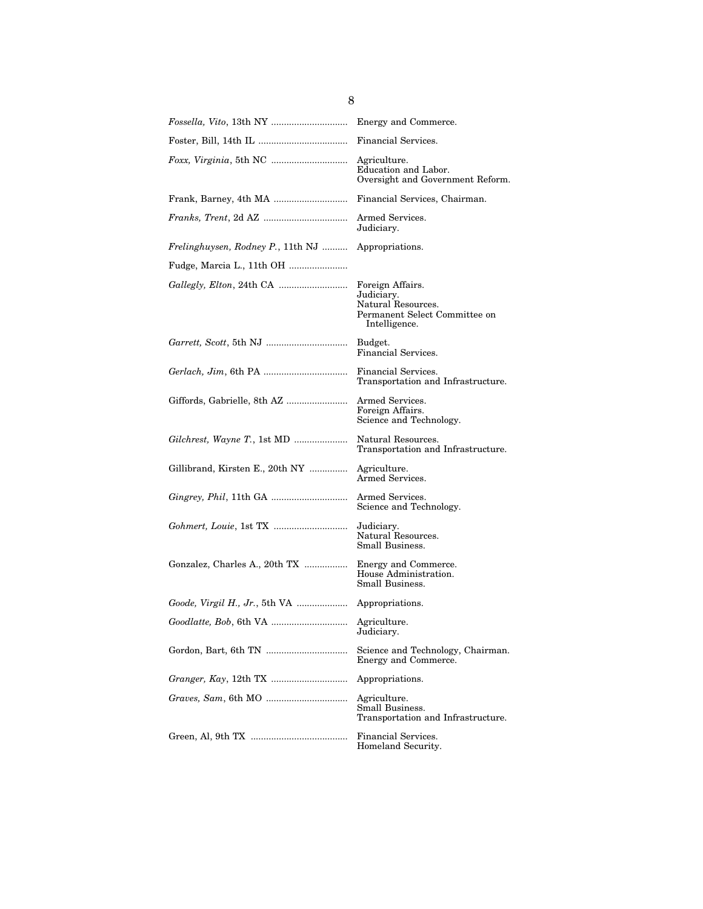|                                                | Financial Services.                                                                                    |
|------------------------------------------------|--------------------------------------------------------------------------------------------------------|
|                                                | Agriculture.<br>Education and Labor.<br>Oversight and Government Reform.                               |
|                                                | Financial Services, Chairman.                                                                          |
|                                                | Armed Services.<br>Judiciary.                                                                          |
| Frelinghuysen, Rodney P., 11th NJ              | Appropriations.                                                                                        |
| Fudge, Marcia L., 11th OH                      |                                                                                                        |
|                                                | Foreign Affairs.<br>Judiciary.<br>Natural Resources.<br>Permanent Select Committee on<br>Intelligence. |
|                                                | Budget.<br>Financial Services.                                                                         |
|                                                | Financial Services.<br>Transportation and Infrastructure.                                              |
|                                                | Armed Services.<br>Foreign Affairs.<br>Science and Technology.                                         |
|                                                | Natural Resources.<br>Transportation and Infrastructure.                                               |
| Gillibrand, Kirsten E., 20th NY                | Agriculture.<br>Armed Services.                                                                        |
|                                                | Armed Services.<br>Science and Technology.                                                             |
|                                                | Judiciary.<br>Natural Resources.<br>Small Business.                                                    |
| Gonzalez, Charles A., 20th TX                  | Energy and Commerce.<br>House Administration.<br>Small Business.                                       |
| Goode, Virgil H., Jr., 5th VA  Appropriations. |                                                                                                        |
|                                                | Judiciary.                                                                                             |
|                                                | Science and Technology, Chairman.<br>Energy and Commerce.                                              |
|                                                | Appropriations.                                                                                        |
| <i>Graves, Sam, 6th MO </i>                    | Agriculture.<br>Small Business.<br>Transportation and Infrastructure.                                  |
|                                                | Financial Services.<br>Homeland Security.                                                              |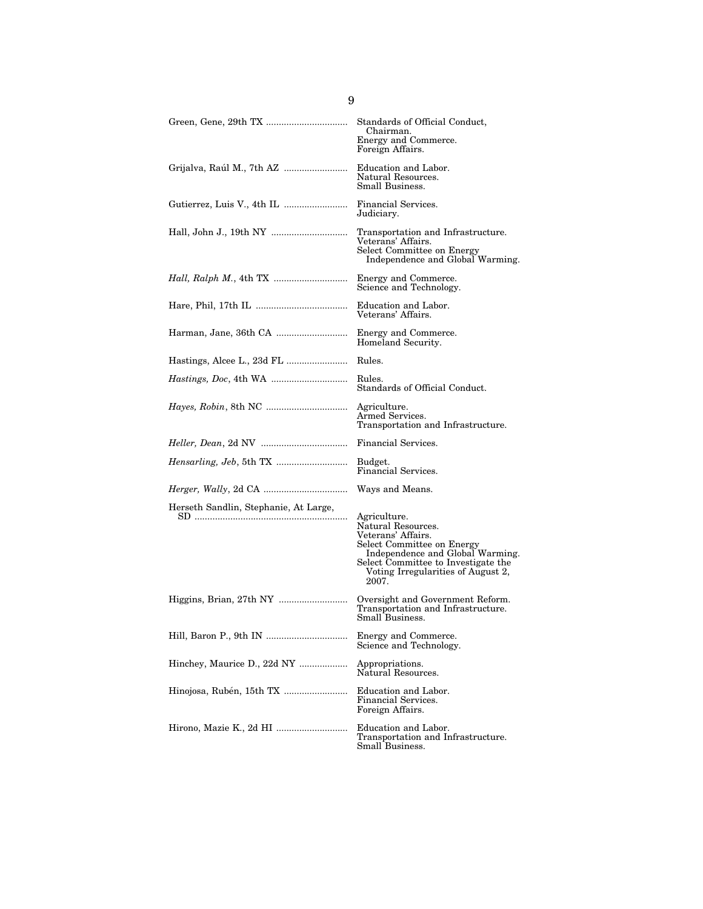|                                       | Standards of Official Conduct,<br>Chairman.<br>Energy and Commerce.<br>Foreign Affairs.                                                                                                                          |
|---------------------------------------|------------------------------------------------------------------------------------------------------------------------------------------------------------------------------------------------------------------|
| Grijalva, Raúl M., 7th AZ             | Education and Labor.<br>Natural Resources.<br>Small Business.                                                                                                                                                    |
|                                       | Financial Services.<br>Judiciary.                                                                                                                                                                                |
|                                       | Transportation and Infrastructure.<br>Veterans' Affairs.<br>Select Committee on Energy<br>Independence and Global Warming.                                                                                       |
|                                       | Energy and Commerce.<br>Science and Technology.                                                                                                                                                                  |
|                                       | Education and Labor.<br>Veterans' Affairs.                                                                                                                                                                       |
|                                       | Energy and Commerce.<br>Homeland Security.                                                                                                                                                                       |
|                                       | Rules.                                                                                                                                                                                                           |
|                                       | Rules.<br>Standards of Official Conduct.                                                                                                                                                                         |
| <i>Hayes, Robin, 8th NC </i>          | Agriculture.<br>Armed Services.<br>Transportation and Infrastructure.                                                                                                                                            |
|                                       | Financial Services.                                                                                                                                                                                              |
|                                       | Budget.<br>Financial Services.                                                                                                                                                                                   |
|                                       | Ways and Means.                                                                                                                                                                                                  |
| Herseth Sandlin, Stephanie, At Large, | Agriculture.<br>Natural Resources.<br>Veterans' Affairs.<br>Select Committee on Energy<br>Independence and Global Warming.<br>Select Committee to Investigate the<br>Voting Irregularities of August 2,<br>2007. |
|                                       | Oversight and Government Reform.<br>Transportation and Infrastructure.<br>Small Business.                                                                                                                        |
|                                       | Energy and Commerce.<br>Science and Technology.                                                                                                                                                                  |
| Hinchey, Maurice D., 22d NY           | Appropriations.<br>Natural Resources.                                                                                                                                                                            |
|                                       | Education and Labor.<br>Financial Services.<br>Foreign Affairs.                                                                                                                                                  |
|                                       | Education and Labor.<br>Transportation and Infrastructure.<br>Small Business.                                                                                                                                    |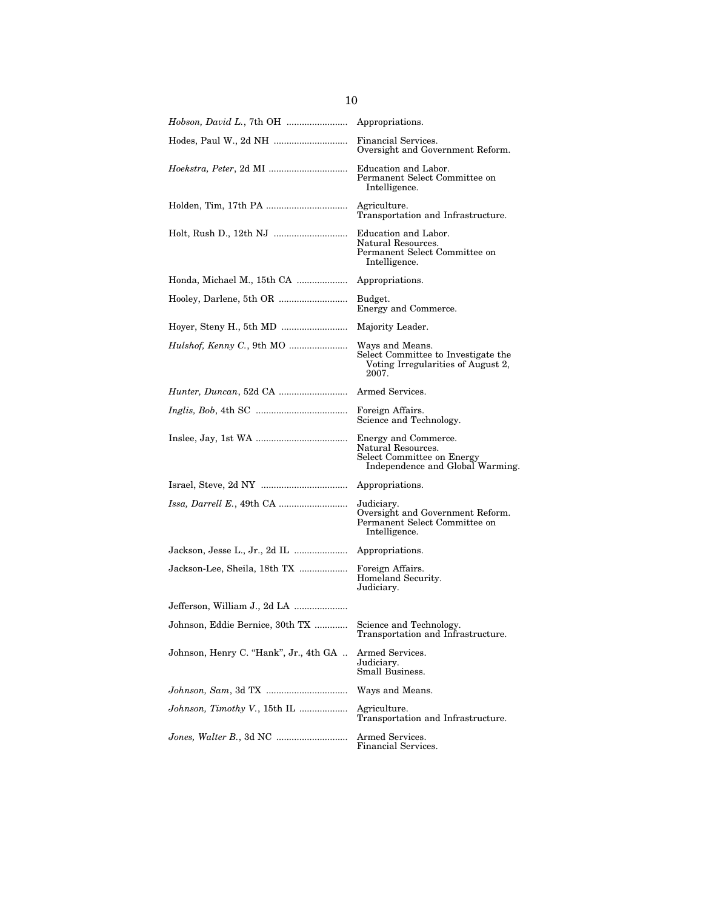|                                       | Financial Services.<br>Oversight and Government Reform.                                                      |
|---------------------------------------|--------------------------------------------------------------------------------------------------------------|
| <i>Hoekstra, Peter, 2d MI </i>        | Education and Labor.<br>Permanent Select Committee on<br>Intelligence.                                       |
|                                       | Agriculture.<br>Transportation and Infrastructure.                                                           |
|                                       | Education and Labor.<br>Natural Resources.<br>Permanent Select Committee on<br>Intelligence.                 |
|                                       | Appropriations.                                                                                              |
|                                       | Budget.<br>Energy and Commerce.                                                                              |
|                                       | Majority Leader.                                                                                             |
| Hulshof, Kenny C., 9th MO             | Ways and Means.<br>Select Committee to Investigate the<br>Voting Irregularities of August 2,<br>2007.        |
| <i>Hunter, Duncan, 52d CA </i>        | Armed Services.                                                                                              |
|                                       | Foreign Affairs.<br>Science and Technology.                                                                  |
|                                       | Energy and Commerce.<br>Natural Resources.<br>Select Committee on Energy<br>Independence and Global Warming. |
|                                       |                                                                                                              |
|                                       | Judiciary.<br>Oversight and Government Reform.<br>Permanent Select Committee on<br>Intelligence.             |
|                                       | Appropriations.                                                                                              |
| Jackson-Lee, Sheila, 18th TX          | Foreign Affairs.<br>Homeland Security.<br>Judiciary.                                                         |
| Jefferson, William J., 2d LA          |                                                                                                              |
| Johnson, Eddie Bernice, 30th TX       | Science and Technology.<br>Transportation and Infrastructure.                                                |
| Johnson, Henry C. "Hank", Jr., 4th GA | Armed Services.<br>Judiciary.<br>Small Business.                                                             |
|                                       | Ways and Means.                                                                                              |
| Johnson, Timothy V., 15th IL          | Agriculture.<br>Transportation and Infrastructure.                                                           |
|                                       | Armed Services.<br>Financial Services.                                                                       |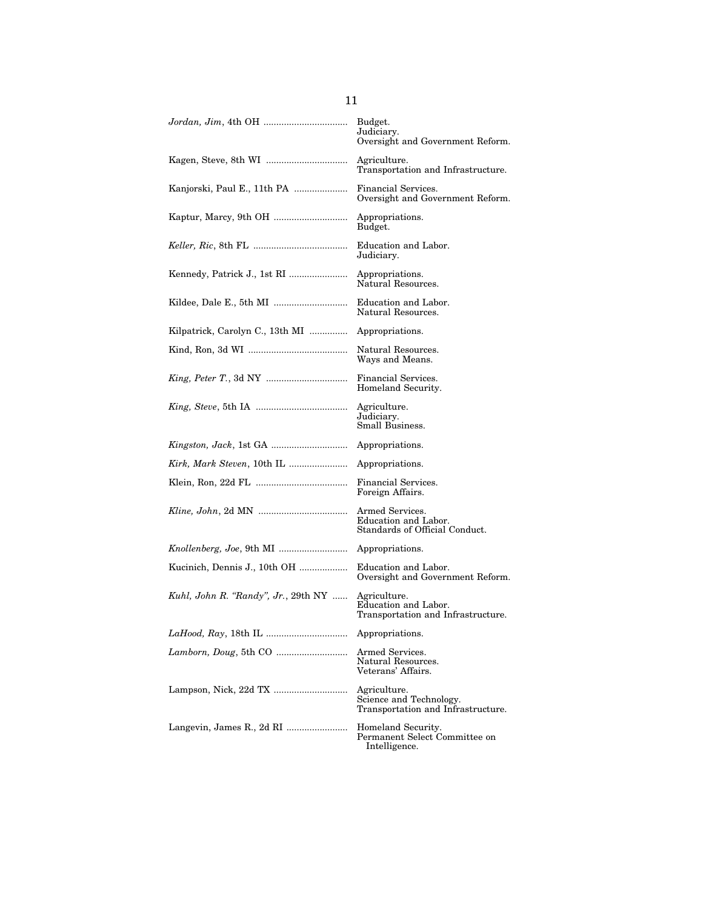|                                     | Budget.<br>Judiciary.<br>Oversight and Government Reform.                     |
|-------------------------------------|-------------------------------------------------------------------------------|
|                                     | Agriculture.<br>Transportation and Infrastructure.                            |
| Kanjorski, Paul E., 11th PA         | Financial Services.<br>Oversight and Government Reform.                       |
|                                     | Appropriations.<br>Budget.                                                    |
|                                     | Education and Labor.<br>Judiciary.                                            |
|                                     | Appropriations.<br>Natural Resources.                                         |
|                                     | Education and Labor.<br>Natural Resources.                                    |
| Kilpatrick, Carolyn C., 13th MI     | Appropriations.                                                               |
|                                     | Natural Resources.<br>Ways and Means.                                         |
|                                     | Financial Services.<br>Homeland Security.                                     |
|                                     | Agriculture.<br>Judiciary.<br>Small Business.                                 |
|                                     | Appropriations.                                                               |
|                                     | Appropriations.                                                               |
|                                     | Financial Services.<br>Foreign Affairs.                                       |
|                                     | Armed Services.<br>Education and Labor.<br>Standards of Official Conduct.     |
|                                     | Appropriations.                                                               |
| Kucinich, Dennis J., 10th OH        | Education and Labor.<br>Oversight and Government Reform.                      |
| Kuhl, John R. "Randy", Jr., 29th NY | Agriculture.<br>Education and Labor.<br>Transportation and Infrastructure.    |
|                                     | Appropriations.                                                               |
|                                     | Armed Services.<br>Natural Resources.<br>Veterans' Affairs.                   |
|                                     | Agriculture.<br>Science and Technology.<br>Transportation and Infrastructure. |
|                                     | Homeland Security.<br>Permanent Select Committee on<br>Intelligence.          |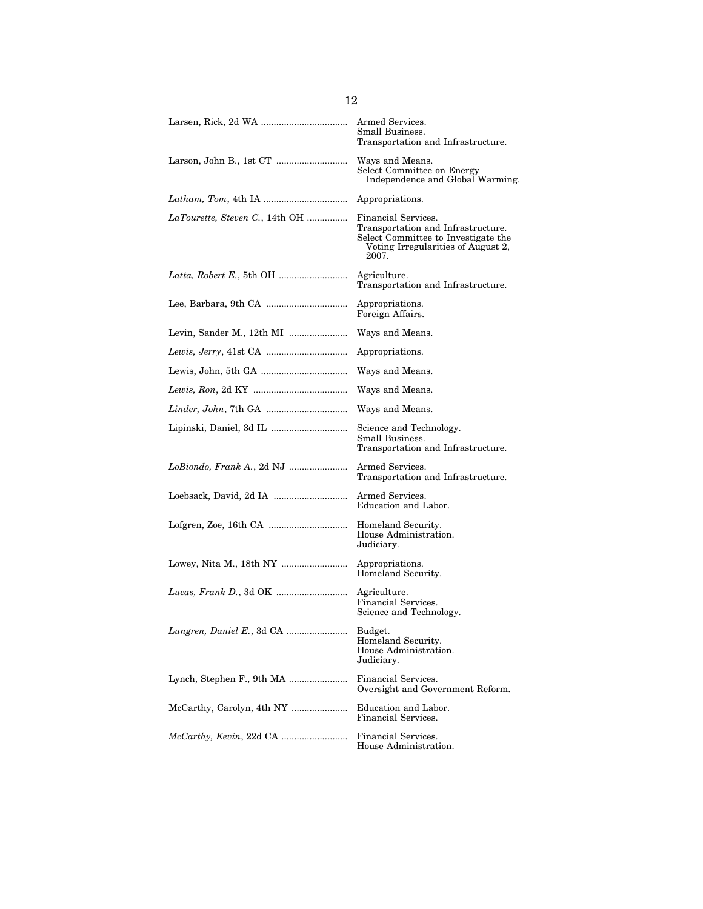|                                | Armed Services.<br>Small Business.<br>Transportation and Infrastructure.                                                                        |
|--------------------------------|-------------------------------------------------------------------------------------------------------------------------------------------------|
|                                | Ways and Means.<br>Select Committee on Energy<br>Independence and Global Warming.                                                               |
|                                | Appropriations.                                                                                                                                 |
| LaTourette, Steven C., 14th OH | Financial Services.<br>Transportation and Infrastructure.<br>Select Committee to Investigate the<br>Voting Irregularities of August 2,<br>2007. |
|                                | Agriculture.<br>Transportation and Infrastructure.                                                                                              |
|                                | Appropriations.<br>Foreign Affairs.                                                                                                             |
|                                | Ways and Means.                                                                                                                                 |
|                                | Appropriations.                                                                                                                                 |
|                                | Ways and Means.                                                                                                                                 |
|                                | Ways and Means.                                                                                                                                 |
|                                | Ways and Means.                                                                                                                                 |
|                                | Science and Technology.<br>Small Business.<br>Transportation and Infrastructure.                                                                |
|                                | Armed Services.<br>Transportation and Infrastructure.                                                                                           |
|                                | Armed Services.<br>Education and Labor.                                                                                                         |
|                                | Homeland Security.<br>House Administration.<br>Judiciary.                                                                                       |
|                                | Appropriations.<br>Homeland Security.                                                                                                           |
|                                | Agriculture.<br>Financial Services.<br>Science and Technology.                                                                                  |
|                                | Budget.<br>Homeland Security.<br>House Administration.<br>Judiciary.                                                                            |
| Lynch, Stephen F., 9th MA      | Financial Services.<br>Oversight and Government Reform.                                                                                         |
|                                | Education and Labor.<br>Financial Services.                                                                                                     |
|                                | Financial Services.<br>House Administration.                                                                                                    |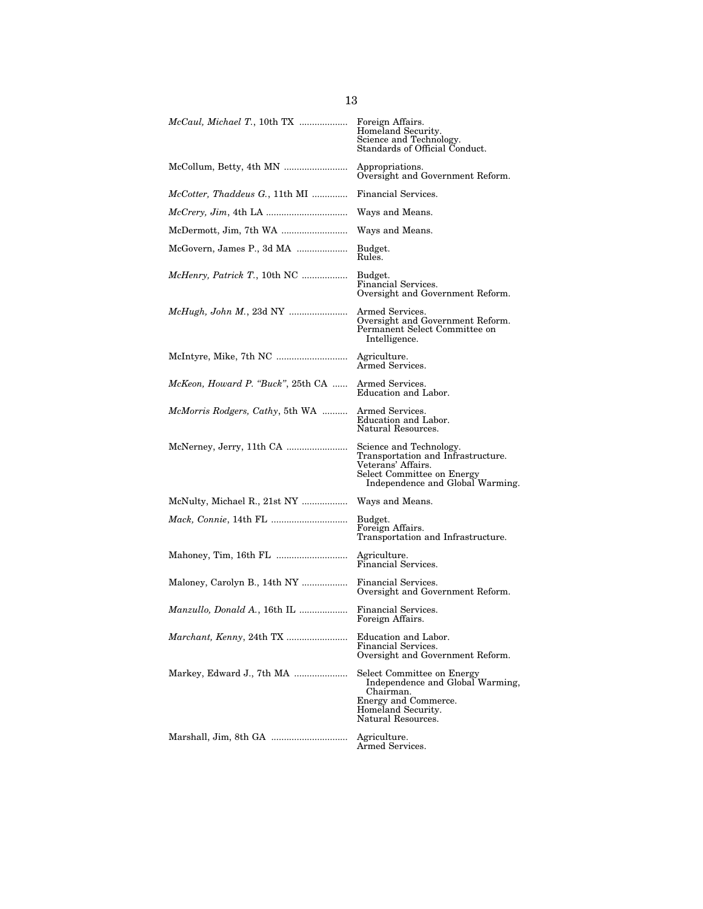|                                         | Foreign Affairs.<br>Homeland Security.<br>Science and Technology.<br>Standards of Official Conduct.                                                   |
|-----------------------------------------|-------------------------------------------------------------------------------------------------------------------------------------------------------|
|                                         | Appropriations.<br>Oversight and Government Reform.                                                                                                   |
| McCotter, Thaddeus G., 11th MI          | Financial Services.                                                                                                                                   |
|                                         | Ways and Means.                                                                                                                                       |
|                                         | Ways and Means.                                                                                                                                       |
| McGovern, James P., 3d MA               | Budget.<br>Rules.                                                                                                                                     |
| <i>McHenry, Patrick T., 10th NC </i>    | Budget.<br>Financial Services.<br>Oversight and Government Reform.                                                                                    |
|                                         | Armed Services.<br>Oversight and Government Reform.<br>Permanent Select Committee on<br>Intelligence.                                                 |
|                                         | Agriculture.<br>Armed Services.                                                                                                                       |
| McKeon, Howard P. "Buck", 25th CA       | Armed Services.<br>Education and Labor.                                                                                                               |
| <i>McMorris Rodgers, Cathy, 5th WA </i> | Armed Services.<br>Education and Labor.<br>Natural Resources.                                                                                         |
|                                         | Science and Technology.<br>Transportation and Infrastructure.<br>Veterans' Affairs.<br>Select Committee on Energy<br>Independence and Global Warming. |
| McNulty, Michael R., 21st NY            | Ways and Means.                                                                                                                                       |
|                                         | Budget.<br>Foreign Affairs.<br>Transportation and Infrastructure.                                                                                     |
|                                         | Agriculture.<br>Financial Services.                                                                                                                   |
| Maloney, Carolyn B., 14th NY            | Financial Services.<br>Oversight and Government Reform.                                                                                               |
| Manzullo, Donald A., 16th IL            | Financial Services.<br>Foreign Affairs.                                                                                                               |
|                                         | Education and Labor.<br>Financial Services.<br>Oversight and Government Reform.                                                                       |
|                                         | Select Committee on Energy<br>Independence and Global Warming,<br>Chairman.<br>Energy and Commerce.<br>Homeland Security.<br>Natural Resources.       |
|                                         | Agriculture.<br>Armed Services.                                                                                                                       |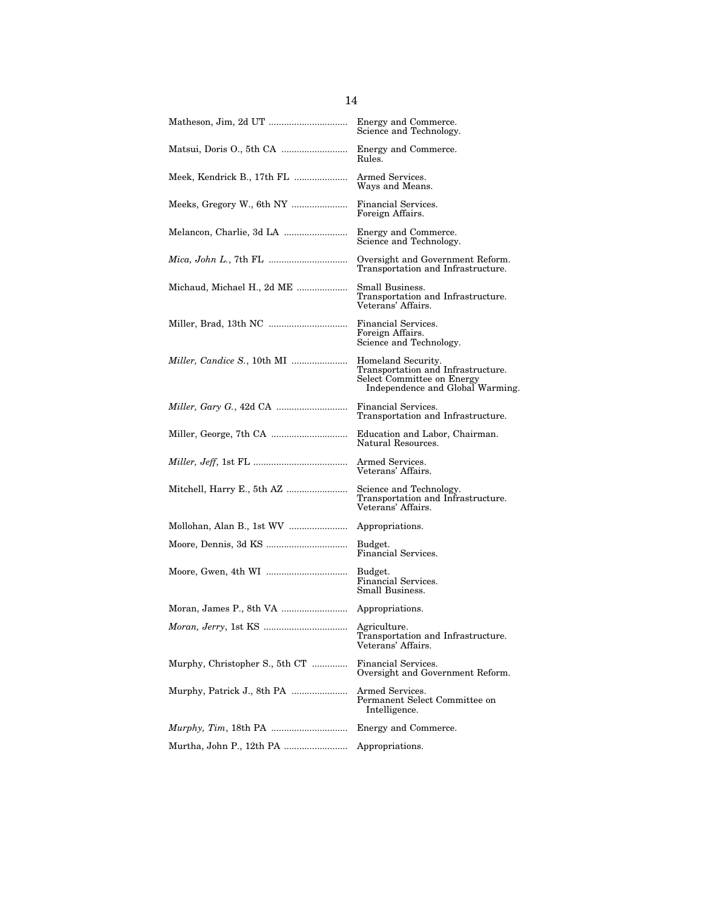|                                | Energy and Commerce.<br>Science and Technology.                                                                            |
|--------------------------------|----------------------------------------------------------------------------------------------------------------------------|
|                                | Energy and Commerce.<br>Rules.                                                                                             |
|                                | Armed Services.<br>Ways and Means.                                                                                         |
|                                | Financial Services.<br>Foreign Affairs.                                                                                    |
|                                | Energy and Commerce.<br>Science and Technology.                                                                            |
|                                | Oversight and Government Reform.<br>Transportation and Infrastructure.                                                     |
| Michaud, Michael H., 2d ME     | Small Business.<br>Transportation and Infrastructure.<br>Veterans' Affairs.                                                |
|                                | Financial Services.<br>Foreign Affairs.<br>Science and Technology.                                                         |
| Miller, Candice S., 10th MI    | Homeland Security.<br>Transportation and Infrastructure.<br>Select Committee on Energy<br>Independence and Global Warming. |
|                                | Financial Services.<br>Transportation and Infrastructure.                                                                  |
|                                | Education and Labor, Chairman.<br>Natural Resources.                                                                       |
|                                | Armed Services.<br>Veterans' Affairs.                                                                                      |
|                                | Science and Technology.<br>Transportation and Infrastructure.<br>Veterans' Affairs.                                        |
|                                | Appropriations.                                                                                                            |
|                                | Budget.<br>Financial Services.                                                                                             |
|                                | Budget.<br>Financial Services.<br>Small Business.                                                                          |
|                                |                                                                                                                            |
|                                | Agriculture.<br>Transportation and Infrastructure.<br>Veterans' Affairs.                                                   |
| Murphy, Christopher S., 5th CT | Financial Services.<br>Oversight and Government Reform.                                                                    |
|                                | Armed Services.<br>Permanent Select Committee on<br>Intelligence.                                                          |
|                                | Energy and Commerce.                                                                                                       |
|                                | Appropriations.                                                                                                            |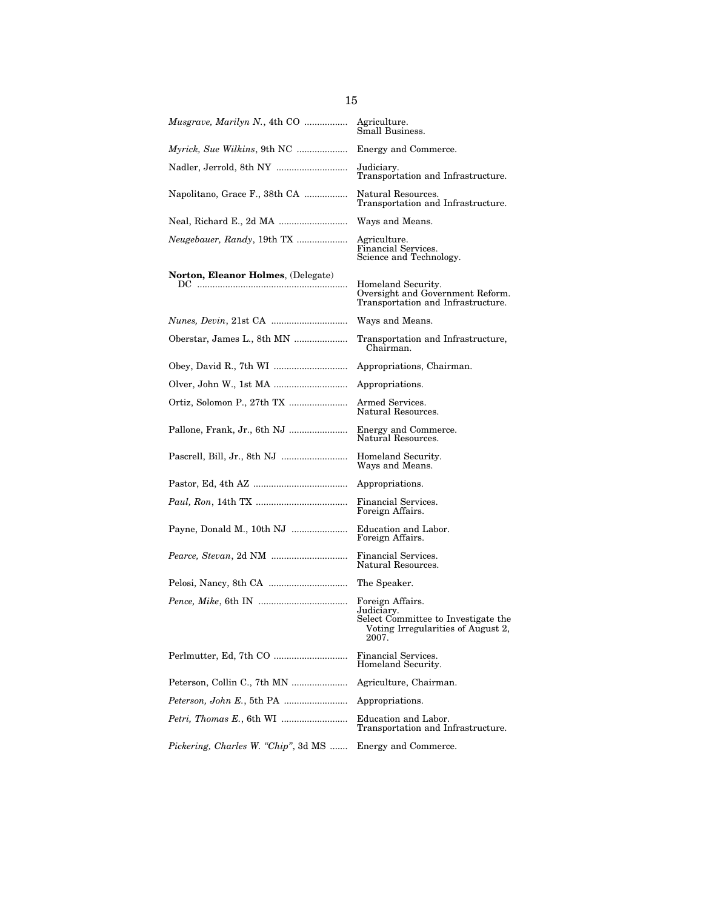|                                     | Agriculture.<br>Small Business.                                                                                      |
|-------------------------------------|----------------------------------------------------------------------------------------------------------------------|
| Myrick, Sue Wilkins, 9th NC         | Energy and Commerce.                                                                                                 |
| Nadler, Jerrold, 8th NY             | Judiciary.<br>Transportation and Infrastructure.                                                                     |
| Napolitano, Grace F., 38th CA       | Natural Resources.<br>Transportation and Infrastructure.                                                             |
| Neal, Richard E., 2d MA             | Ways and Means.                                                                                                      |
| <i>Neugebauer, Randy</i> , 19th TX  | Agriculture.<br>Financial Services.<br>Science and Technology.                                                       |
| Norton, Eleanor Holmes, (Delegate)  |                                                                                                                      |
|                                     | Homeland Security.<br>Oversight and Government Reform.<br>Transportation and Infrastructure.                         |
|                                     | Ways and Means.                                                                                                      |
| Oberstar, James L., 8th MN          | Transportation and Infrastructure,<br>Chairman.                                                                      |
|                                     | Appropriations, Chairman.                                                                                            |
|                                     | Appropriations.                                                                                                      |
|                                     | Armed Services.<br>Natural Resources.                                                                                |
| Pallone, Frank, Jr., 6th NJ         | Energy and Commerce.<br>Natural Resources.                                                                           |
|                                     | Homeland Security.<br>Ways and Means.                                                                                |
|                                     | Appropriations.                                                                                                      |
|                                     | Financial Services.<br>Foreign Affairs.                                                                              |
| Payne, Donald M., 10th NJ           | Education and Labor.<br>Foreign Affairs.                                                                             |
|                                     | Financial Services.<br>Natural Resources.                                                                            |
|                                     | The Speaker.                                                                                                         |
|                                     | Foreign Affairs.<br>Judiciary.<br>Select Committee to Investigate the<br>Voting Irregularities of August 2,<br>2007. |
|                                     | Financial Services.<br>Homeland Security.                                                                            |
| Peterson, Collin C., 7th MN         | Agriculture, Chairman.                                                                                               |
|                                     | Appropriations.                                                                                                      |
|                                     | Education and Labor.<br>Transportation and Infrastructure.                                                           |
| Pickering, Charles W. "Chip", 3d MS | Energy and Commerce.                                                                                                 |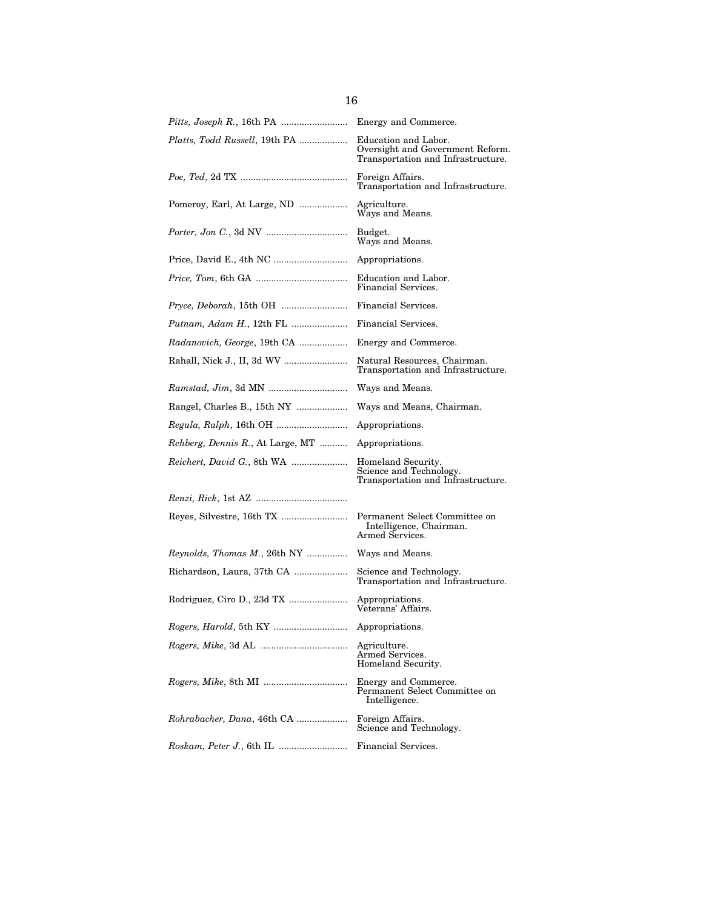| <i>Pitts, Joseph R., 16th PA </i>        | Energy and Commerce.                                                                           |
|------------------------------------------|------------------------------------------------------------------------------------------------|
| Platts, Todd Russell, 19th PA            | Education and Labor.<br>Oversight and Government Reform.<br>Transportation and Infrastructure. |
|                                          | Foreign Affairs.<br>Transportation and Infrastructure.                                         |
| Pomeroy, Earl, At Large, ND              | Agriculture.<br>Ways and Means.                                                                |
|                                          | Budget.<br>Ways and Means.                                                                     |
|                                          | Appropriations.                                                                                |
|                                          | Education and Labor.<br>Financial Services.                                                    |
|                                          | Financial Services.                                                                            |
|                                          | Financial Services.                                                                            |
| Radanovich, George, 19th CA              | Energy and Commerce.                                                                           |
|                                          | Natural Resources, Chairman.<br>Transportation and Infrastructure.                             |
|                                          | Ways and Means.                                                                                |
|                                          | Ways and Means, Chairman.                                                                      |
|                                          | Appropriations.                                                                                |
| <i>Rehberg, Dennis R., At Large, MT </i> | Appropriations.                                                                                |
|                                          | Homeland Security.<br>Science and Technology.<br>Transportation and Infrastructure.            |
|                                          |                                                                                                |
|                                          | Permanent Select Committee on<br>Intelligence, Chairman.<br>Armed Services.                    |
| Reynolds, Thomas M., 26th NY             | Ways and Means.                                                                                |
|                                          | Science and Technology.<br>Transportation and Infrastructure.                                  |
|                                          | Appropriations.<br>Veterans' Affairs.                                                          |
|                                          | Appropriations.                                                                                |
| <i>Rogers, Mike, 3d AL </i>              | Agriculture.<br>Armed Services.<br>Homeland Security.                                          |
|                                          | Energy and Commerce.<br>Permanent Select Committee on<br>Intelligence.                         |
| Rohrabacher, Dana, 46th CA               | Foreign Affairs.<br>Science and Technology.                                                    |
|                                          | Financial Services.                                                                            |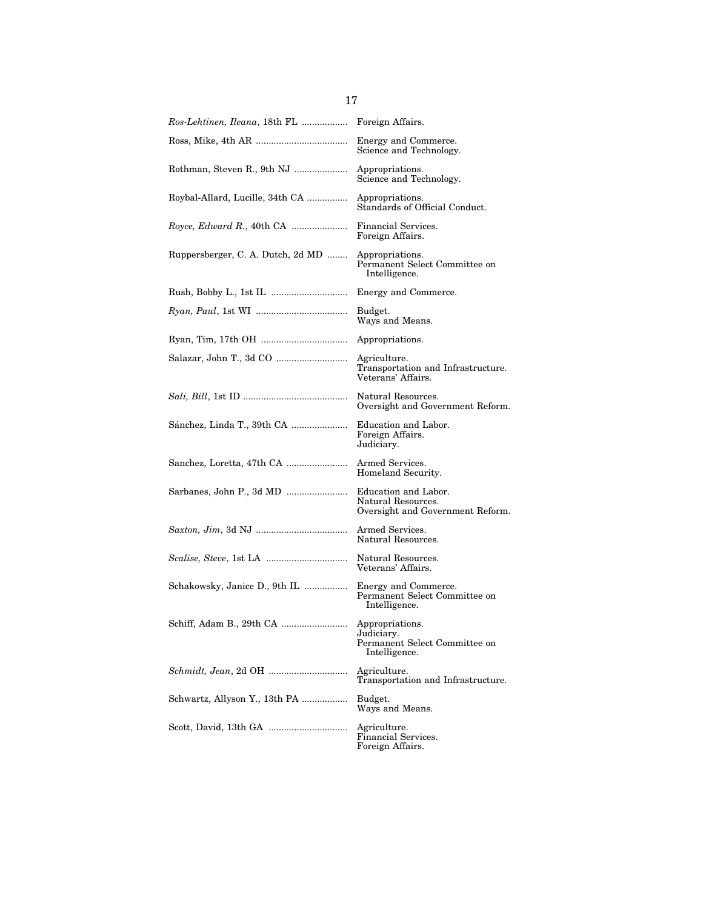| Ros-Lehtinen, Ileana, 18th FL     | Foreign Affairs.                                                                |
|-----------------------------------|---------------------------------------------------------------------------------|
|                                   | Energy and Commerce.<br>Science and Technology.                                 |
| Rothman, Steven R., 9th NJ        | Appropriations.<br>Science and Technology.                                      |
| Roybal-Allard, Lucille, 34th CA   | Appropriations.<br>Standards of Official Conduct.                               |
|                                   | Financial Services.<br>Foreign Affairs.                                         |
| Ruppersberger, C. A. Dutch, 2d MD | Appropriations.<br>Permanent Select Committee on<br>Intelligence.               |
|                                   | Energy and Commerce.                                                            |
|                                   | Budget.<br>Ways and Means.                                                      |
|                                   | Appropriations.                                                                 |
|                                   | Agriculture.<br>Transportation and Infrastructure.<br>Veterans' Affairs.        |
|                                   | Natural Resources.<br>Oversight and Government Reform.                          |
|                                   | Education and Labor.<br>Foreign Affairs.<br>Judiciary.                          |
| Sanchez, Loretta, 47th CA         | Armed Services.<br>Homeland Security.                                           |
|                                   | Education and Labor.<br>Natural Resources.<br>Oversight and Government Reform.  |
|                                   | Armed Services.<br>Natural Resources.                                           |
|                                   | Natural Resources.<br>Veterans' Affairs.                                        |
| Schakowsky, Janice D., 9th IL     | Energy and Commerce.<br>Permanent Select Committee on<br>Intelligence.          |
|                                   | Appropriations.<br>Judiciary.<br>Permanent Select Committee on<br>Intelligence. |
|                                   | Agriculture.<br>Transportation and Infrastructure.                              |
| Schwartz, Allyson Y., 13th PA     | Budget.<br>Ways and Means.                                                      |
|                                   | Agriculture.<br>Financial Services.<br>Foreign Affairs.                         |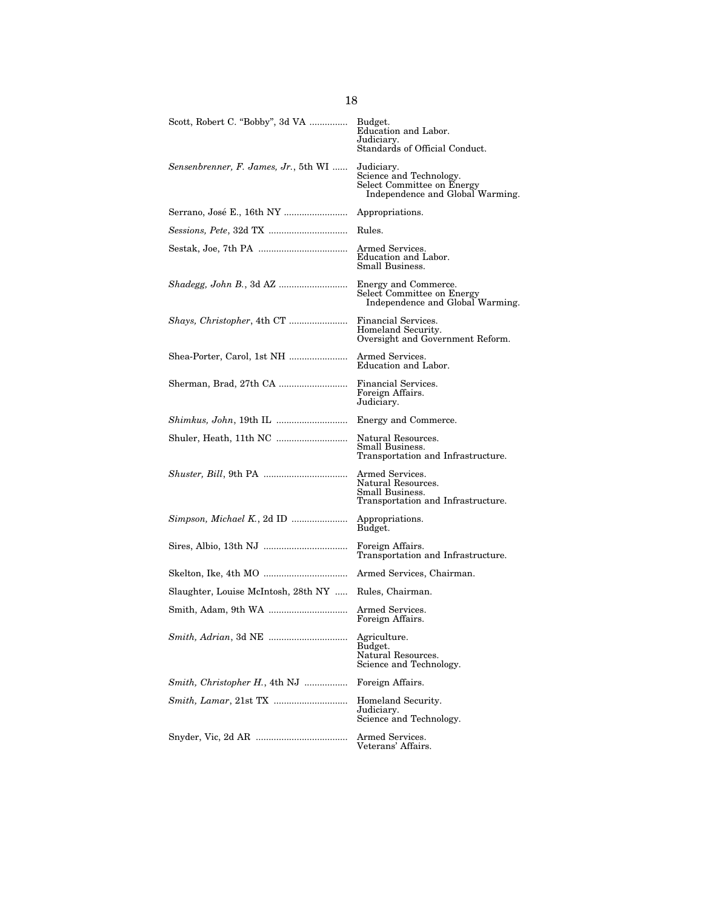| Scott, Robert C. "Bobby", 3d VA                       | Budget.<br>Education and Labor.<br>Judiciary.<br>Standards of Official Conduct.                         |
|-------------------------------------------------------|---------------------------------------------------------------------------------------------------------|
| Sensenbrenner, F. James, Jr., 5th WI                  | Judiciary.<br>Science and Technology.<br>Select Committee on Energy<br>Independence and Global Warming. |
|                                                       | Appropriations.                                                                                         |
|                                                       | Rules.                                                                                                  |
|                                                       | Armed Services.<br>Education and Labor.<br>Small Business.                                              |
| <i>Shadegg, John B., 3d AZ </i>                       | Energy and Commerce.<br>Select Committee on Energy<br>Independence and Global Warming.                  |
|                                                       | Financial Services.<br>Homeland Security.<br>Oversight and Government Reform.                           |
| Shea-Porter, Carol, 1st NH                            | Armed Services.<br>Education and Labor.                                                                 |
|                                                       | Financial Services.<br>Foreign Affairs.<br>Judiciary.                                                   |
| <i>Shimkus, John, 19th IL </i>                        | Energy and Commerce.                                                                                    |
|                                                       | Natural Resources.<br>Small Business.<br>Transportation and Infrastructure.                             |
|                                                       | Armed Services.<br>Natural Resources.<br>Small Business.<br>Transportation and Infrastructure.          |
|                                                       | Appropriations.<br>Budget.                                                                              |
|                                                       | Foreign Affairs.<br>Transportation and Infrastructure.                                                  |
|                                                       |                                                                                                         |
| Slaughter, Louise McIntosh, 28th NY  Rules, Chairman. |                                                                                                         |
|                                                       | Armed Services.<br>Foreign Affairs.                                                                     |
|                                                       | Agriculture.<br>Budget.<br>Natural Resources.<br>Science and Technology.                                |
| Smith, Christopher H., 4th NJ                         | Foreign Affairs.                                                                                        |
| <i>Smith, Lamar, 21st TX </i>                         | Homeland Security.<br>Judiciary.<br>Science and Technology.                                             |
|                                                       | Armed Services.<br>Veterans' Affairs.                                                                   |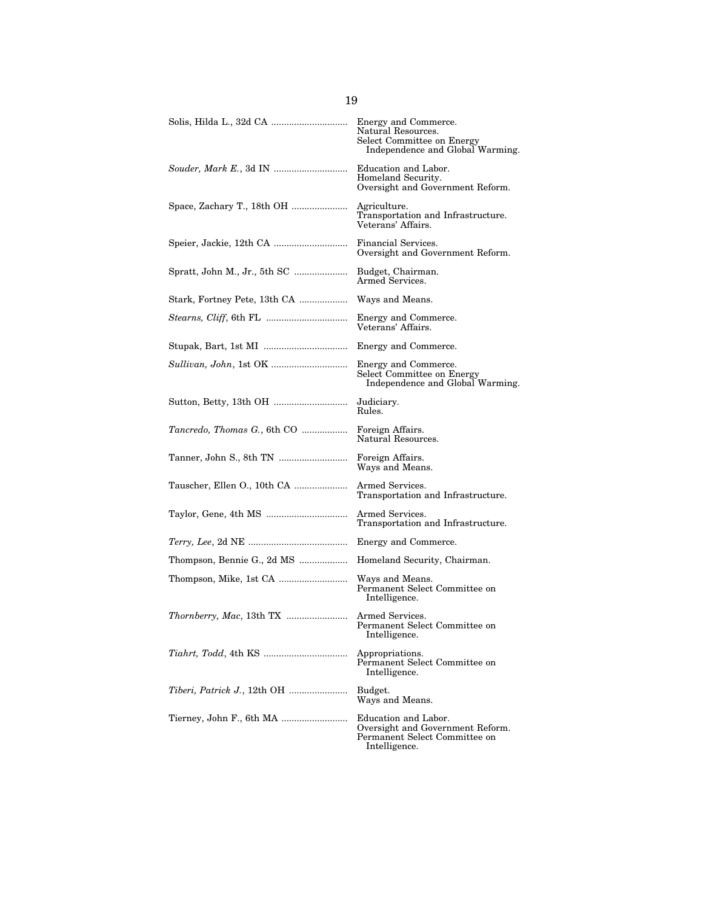| Solis, Hilda L., 32d CA      | Energy and Commerce.<br>Natural Resources.<br>Select Committee on Energy<br>Independence and Global Warming. |
|------------------------------|--------------------------------------------------------------------------------------------------------------|
|                              | Education and Labor.<br>Homeland Security.<br>Oversight and Government Reform.                               |
| Space, Zachary T., 18th OH   | Agriculture.<br>Transportation and Infrastructure.<br>Veterans' Affairs.                                     |
|                              | Financial Services.<br>Oversight and Government Reform.                                                      |
| Spratt, John M., Jr., 5th SC | Budget, Chairman.<br>Armed Services.                                                                         |
| Stark, Fortney Pete, 13th CA | Ways and Means.                                                                                              |
|                              | Energy and Commerce.<br>Veterans' Affairs.                                                                   |
|                              | Energy and Commerce.                                                                                         |
|                              | Energy and Commerce.<br>Select Committee on Energy<br>Independence and Global Warming.                       |
|                              | Judiciary.<br>Rules.                                                                                         |
| Tancredo, Thomas G., 6th CO  | Foreign Affairs.<br>Natural Resources.                                                                       |
| Tanner, John S., 8th TN      | Foreign Affairs.<br>Ways and Means.                                                                          |
| Tauscher, Ellen O., 10th CA  | Armed Services.<br>Transportation and Infrastructure.                                                        |
|                              | Armed Services.<br>Transportation and Infrastructure.                                                        |
|                              | Energy and Commerce.                                                                                         |
| Thompson, Bennie G., 2d MS   | Homeland Security, Chairman.                                                                                 |
|                              | Ways and Means.<br>Permanent Select Committee on<br>Intelligence.                                            |
|                              | Armed Services.<br>Permanent Select Committee on<br>Intelligence.                                            |
|                              | Appropriations.<br>Permanent Select Committee on<br>Intelligence.                                            |
|                              | Budget.<br>Ways and Means.                                                                                   |
| Tierney, John F., 6th MA     | Education and Labor.<br>Oversight and Government Reform.<br>Permanent Select Committee on<br>Intelligence.   |

|  | v                   |
|--|---------------------|
|  | I<br>۰.<br>M.<br>۰. |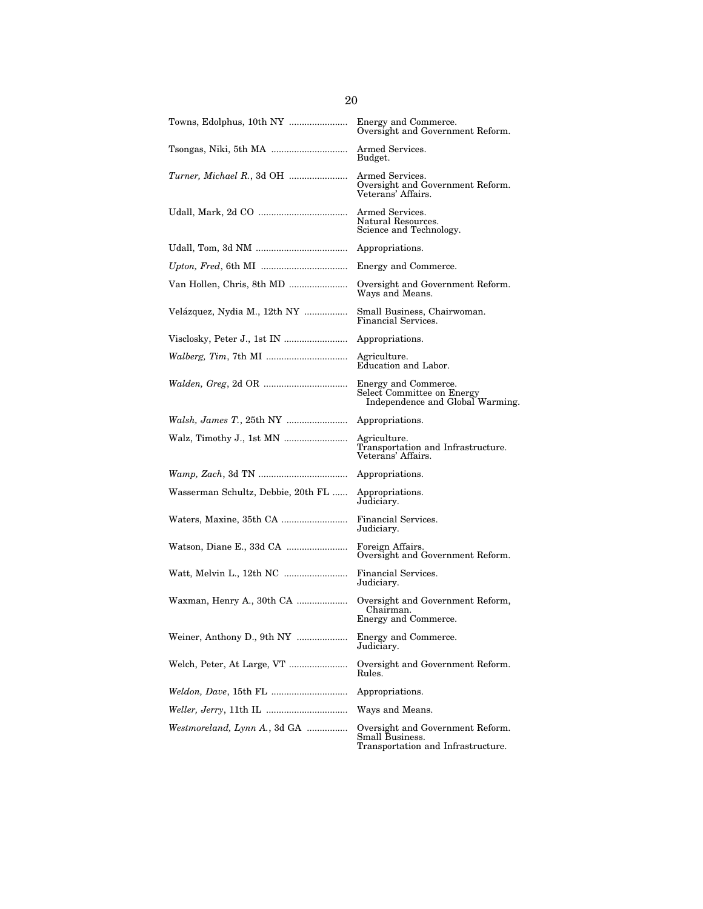| Towns, Edolphus, 10th NY           | Energy and Commerce.<br>Oversight and Government Reform.                                  |
|------------------------------------|-------------------------------------------------------------------------------------------|
|                                    | Armed Services.<br>Budget.                                                                |
|                                    | Armed Services.<br>Oversight and Government Reform.<br>Veterans' Affairs.                 |
|                                    | Armed Services.<br>Natural Resources.<br>Science and Technology.                          |
|                                    | Appropriations.                                                                           |
|                                    | Energy and Commerce.                                                                      |
| Van Hollen, Chris, 8th MD          | Oversight and Government Reform.<br>Ways and Means.                                       |
| Velázquez, Nydia M., 12th NY       | Small Business, Chairwoman.<br>Financial Services.                                        |
|                                    | Appropriations.                                                                           |
| <i>Walberg, Tim, 7th MI </i>       | Agriculture.<br>Education and Labor.                                                      |
|                                    | Energy and Commerce.<br>Select Committee on Energy<br>Independence and Global Warming.    |
|                                    | Appropriations.                                                                           |
|                                    | Agriculture.<br>Transportation and Infrastructure.<br>Veterans' Affairs.                  |
|                                    | Appropriations.                                                                           |
| Wasserman Schultz, Debbie, 20th FL | Appropriations.<br>Judiciary.                                                             |
|                                    | Financial Services.<br>Judiciary.                                                         |
|                                    | Foreign Affairs.<br>Oversight and Government Reform.                                      |
|                                    | Financial Services.<br>Judiciary.                                                         |
| Waxman, Henry A., 30th CA          | Oversight and Government Reform,<br>Chairman.<br>Energy and Commerce.                     |
| Weiner, Anthony D., 9th NY         | Energy and Commerce.<br>Judiciary.                                                        |
| Welch, Peter, At Large, VT         | Oversight and Government Reform.<br>Rules.                                                |
|                                    | Appropriations.                                                                           |
|                                    | Ways and Means.                                                                           |
| Westmoreland, Lynn A., 3d GA       | Oversight and Government Reform.<br>Small Business.<br>Transportation and Infrastructure. |